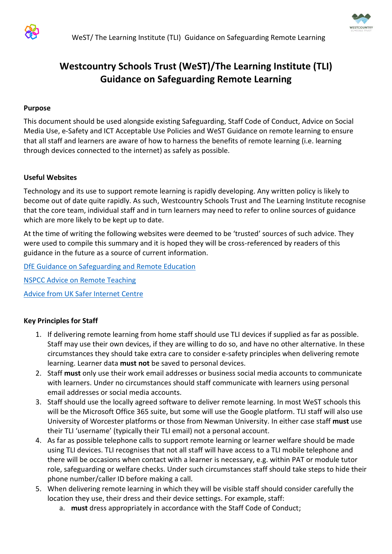



# **Westcountry Schools Trust (WeST)/The Learning Institute (TLI) Guidance on Safeguarding Remote Learning**

#### **Purpose**

This document should be used alongside existing Safeguarding, Staff Code of Conduct, Advice on Social Media Use, e-Safety and ICT Acceptable Use Policies and WeST Guidance on remote learning to ensure that all staff and learners are aware of how to harness the benefits of remote learning (i.e. learning through devices connected to the internet) as safely as possible.

#### **Useful Websites**

Technology and its use to support remote learning is rapidly developing. Any written policy is likely to become out of date quite rapidly. As such, Westcountry Schools Trust and The Learning Institute recognise that the core team, individual staff and in turn learners may need to refer to online sources of guidance which are more likely to be kept up to date.

At the time of writing the following websites were deemed to be 'trusted' sources of such advice. They were used to compile this summary and it is hoped they will be cross-referenced by readers of this guidance in the future as a source of current information.

[DfE Guidance on Safeguarding and Remote Education](https://www.gov.uk/guidance/safeguarding-and-remote-education-during-coronavirus-covid-19)

[NSPCC Advice on Remote Teaching](https://learning.nspcc.org.uk/news/2020/march/undertaking-remote-teaching-safely)

[Advice from UK Safer Internet Centre](https://swgfl.org.uk/resources/safe-remote-learning/)

### **Key Principles for Staff**

- 1. If delivering remote learning from home staff should use TLI devices if supplied as far as possible. Staff may use their own devices, if they are willing to do so, and have no other alternative. In these circumstances they should take extra care to consider e-safety principles when delivering remote learning. Learner data **must not** be saved to personal devices.
- 2. Staff **must** only use their work email addresses or business social media accounts to communicate with learners. Under no circumstances should staff communicate with learners using personal email addresses or social media accounts.
- 3. Staff should use the locally agreed software to deliver remote learning. In most WeST schools this will be the Microsoft Office 365 suite, but some will use the Google platform. TLI staff will also use University of Worcester platforms or those from Newman University. In either case staff **must** use their TLI 'username' (typically their TLI email) not a personal account.
- 4. As far as possible telephone calls to support remote learning or learner welfare should be made using TLI devices. TLI recognises that not all staff will have access to a TLI mobile telephone and there will be occasions when contact with a learner is necessary, e.g. within PAT or module tutor role, safeguarding or welfare checks. Under such circumstances staff should take steps to hide their phone number/caller ID before making a call.
- 5. When delivering remote learning in which they will be visible staff should consider carefully the location they use, their dress and their device settings. For example, staff:
	- a. **must** dress appropriately in accordance with the Staff Code of Conduct;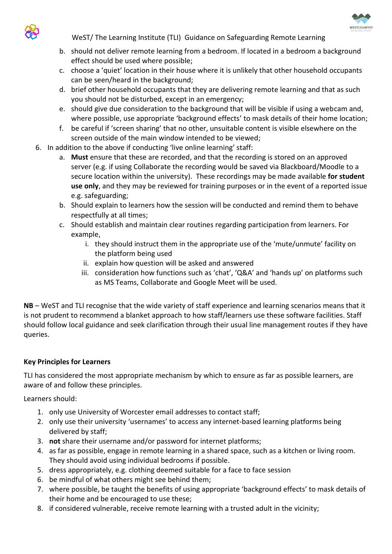

WeST/ The Learning Institute (TLI) Guidance on Safeguarding Remote Learning

- b. should not deliver remote learning from a bedroom. If located in a bedroom a background effect should be used where possible;
- c. choose a 'quiet' location in their house where it is unlikely that other household occupants can be seen/heard in the background;
- d. brief other household occupants that they are delivering remote learning and that as such you should not be disturbed, except in an emergency;
- e. should give due consideration to the background that will be visible if using a webcam and, where possible, use appropriate 'background effects' to mask details of their home location;
- f. be careful if 'screen sharing' that no other, unsuitable content is visible elsewhere on the screen outside of the main window intended to be viewed;
- 6. In addition to the above if conducting 'live online learning' staff:
	- a. **Must** ensure that these are recorded, and that the recording is stored on an approved server (e.g. if using Collaborate the recording would be saved via Blackboard/Moodle to a secure location within the university). These recordings may be made available **for student use only**, and they may be reviewed for training purposes or in the event of a reported issue e.g. safeguarding;
	- b. Should explain to learners how the session will be conducted and remind them to behave respectfully at all times;
	- c. Should establish and maintain clear routines regarding participation from learners. For example,
		- i. they should instruct them in the appropriate use of the 'mute/unmute' facility on the platform being used
		- ii. explain how question will be asked and answered
		- iii. consideration how functions such as 'chat', 'Q&A' and 'hands up' on platforms such as MS Teams, Collaborate and Google Meet will be used.

**NB** – WeST and TLI recognise that the wide variety of staff experience and learning scenarios means that it is not prudent to recommend a blanket approach to how staff/learners use these software facilities. Staff should follow local guidance and seek clarification through their usual line management routes if they have queries.

## **Key Principles for Learners**

TLI has considered the most appropriate mechanism by which to ensure as far as possible learners, are aware of and follow these principles.

Learners should:

- 1. only use University of Worcester email addresses to contact staff;
- 2. only use their university 'usernames' to access any internet-based learning platforms being delivered by staff;
- 3. **not** share their username and/or password for internet platforms;
- 4. as far as possible, engage in remote learning in a shared space, such as a kitchen or living room. They should avoid using individual bedrooms if possible.
- 5. dress appropriately, e.g. clothing deemed suitable for a face to face session
- 6. be mindful of what others might see behind them;
- 7. where possible, be taught the benefits of using appropriate 'background effects' to mask details of their home and be encouraged to use these;
- 8. if considered vulnerable, receive remote learning with a trusted adult in the vicinity;